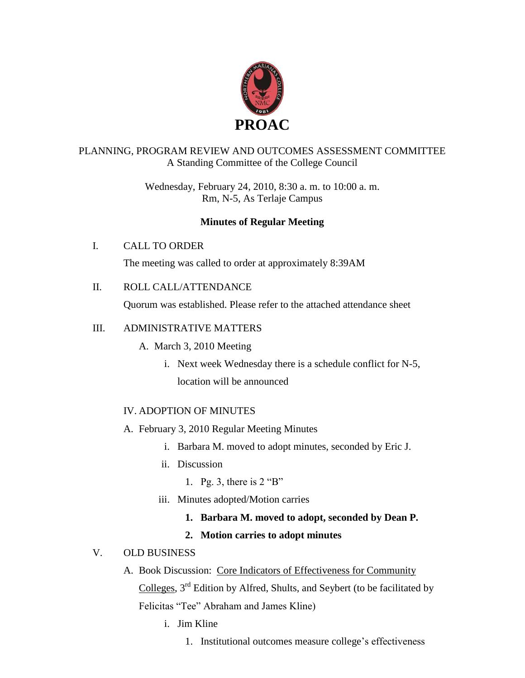

# PLANNING, PROGRAM REVIEW AND OUTCOMES ASSESSMENT COMMITTEE A Standing Committee of the College Council

Wednesday, February 24, 2010, 8:30 a. m. to 10:00 a. m. Rm, N-5, As Terlaje Campus

# **Minutes of Regular Meeting**

# I. CALL TO ORDER

The meeting was called to order at approximately 8:39AM

II. ROLL CALL/ATTENDANCE

Quorum was established. Please refer to the attached attendance sheet

# III. ADMINISTRATIVE MATTERS

- A. March 3, 2010 Meeting
	- i. Next week Wednesday there is a schedule conflict for N-5, location will be announced

# IV. ADOPTION OF MINUTES

- A. February 3, 2010 Regular Meeting Minutes
	- i. Barbara M. moved to adopt minutes, seconded by Eric J.
	- ii. Discussion
		- 1. Pg. 3, there is 2 "B"
	- iii. Minutes adopted/Motion carries
		- **1. Barbara M. moved to adopt, seconded by Dean P.**

# **2. Motion carries to adopt minutes**

### V. OLD BUSINESS

A. Book Discussion: Core Indicators of Effectiveness for Community

Colleges,  $3<sup>rd</sup>$  Edition by Alfred, Shults, and Seybert (to be facilitated by Felicitas "Tee" Abraham and James Kline)

- i. Jim Kline
	- 1. Institutional outcomes measure college's effectiveness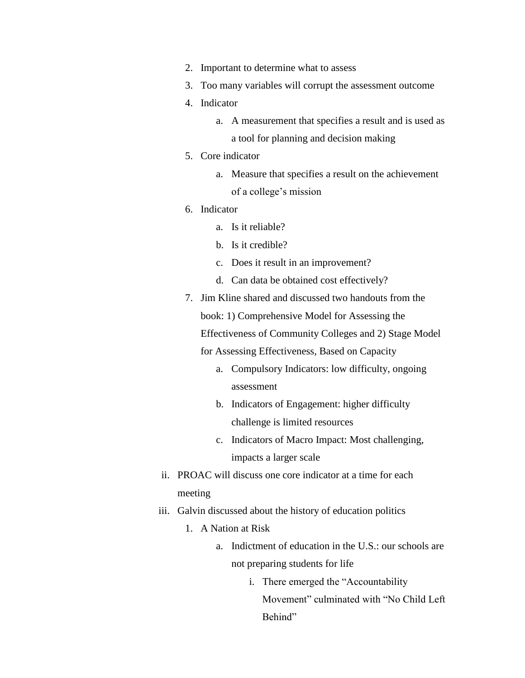- 2. Important to determine what to assess
- 3. Too many variables will corrupt the assessment outcome
- 4. Indicator
	- a. A measurement that specifies a result and is used as a tool for planning and decision making
- 5. Core indicator
	- a. Measure that specifies a result on the achievement of a college's mission
- 6. Indicator
	- a. Is it reliable?
	- b. Is it credible?
	- c. Does it result in an improvement?
	- d. Can data be obtained cost effectively?
- 7. Jim Kline shared and discussed two handouts from the book: 1) Comprehensive Model for Assessing the Effectiveness of Community Colleges and 2) Stage Model for Assessing Effectiveness, Based on Capacity
	- a. Compulsory Indicators: low difficulty, ongoing assessment
	- b. Indicators of Engagement: higher difficulty challenge is limited resources
	- c. Indicators of Macro Impact: Most challenging, impacts a larger scale
- ii. PROAC will discuss one core indicator at a time for each meeting
- iii. Galvin discussed about the history of education politics
	- 1. A Nation at Risk
		- a. Indictment of education in the U.S.: our schools are not preparing students for life
			- i. There emerged the "Accountability Movement" culminated with "No Child Left Behind"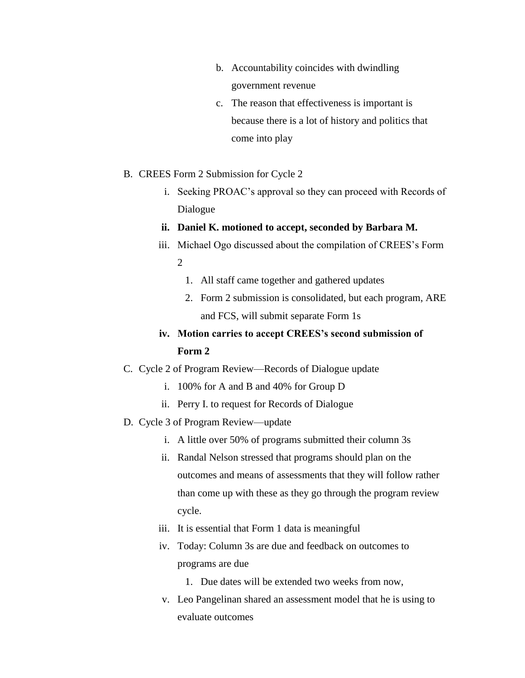- b. Accountability coincides with dwindling government revenue
- c. The reason that effectiveness is important is because there is a lot of history and politics that come into play
- B. CREES Form 2 Submission for Cycle 2
	- i. Seeking PROAC's approval so they can proceed with Records of Dialogue

#### **ii. Daniel K. motioned to accept, seconded by Barbara M.**

- iii. Michael Ogo discussed about the compilation of CREES's Form  $\mathcal{L}$ 
	- 1. All staff came together and gathered updates
	- 2. Form 2 submission is consolidated, but each program, ARE and FCS, will submit separate Form 1s

# **iv. Motion carries to accept CREES's second submission of Form 2**

- C. Cycle 2 of Program Review—Records of Dialogue update
	- i. 100% for A and B and 40% for Group D
	- ii. Perry I. to request for Records of Dialogue
- D. Cycle 3 of Program Review—update
	- i. A little over 50% of programs submitted their column 3s
	- ii. Randal Nelson stressed that programs should plan on the outcomes and means of assessments that they will follow rather than come up with these as they go through the program review cycle.
	- iii. It is essential that Form 1 data is meaningful
	- iv. Today: Column 3s are due and feedback on outcomes to programs are due
		- 1. Due dates will be extended two weeks from now,
	- v. Leo Pangelinan shared an assessment model that he is using to evaluate outcomes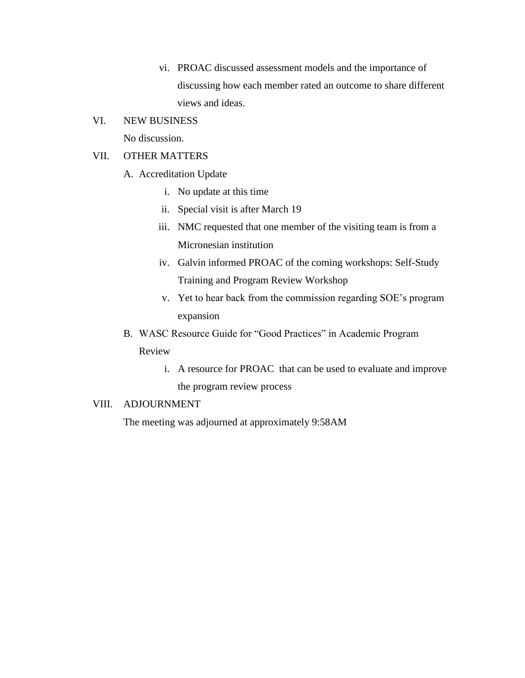vi. PROAC discussed assessment models and the importance of discussing how each member rated an outcome to share different views and ideas.

### VI. NEW BUSINESS

No discussion.

### VII. OTHER MATTERS

- A. Accreditation Update
	- i. No update at this time
	- ii. Special visit is after March 19
	- iii. NMC requested that one member of the visiting team is from a Micronesian institution
	- iv. Galvin informed PROAC of the coming workshops: Self-Study Training and Program Review Workshop
	- v. Yet to hear back from the commission regarding SOE's program expansion
- B. WASC Resource Guide for "Good Practices" in Academic Program Review
	- i. A resource for PROAC that can be used to evaluate and improve the program review process

### VIII. ADJOURNMENT

The meeting was adjourned at approximately 9:58AM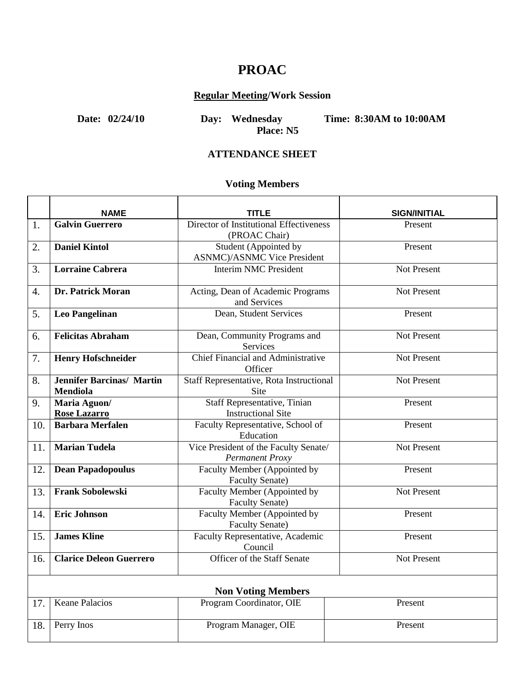# **PROAC**

## **Regular Meeting/Work Session**

ï

**Date: 02/24/10 Day: Wednesday Time: 8:30AM to 10:00AM**

**Place: N5**

### **ATTENDANCE SHEET**

# **Voting Members**

|                           | <b>NAME</b>                                  | <b>TITLE</b>                                                     | <b>SIGN/INITIAL</b> |  |
|---------------------------|----------------------------------------------|------------------------------------------------------------------|---------------------|--|
| 1.                        | <b>Galvin Guerrero</b>                       | Director of Institutional Effectiveness<br>(PROAC Chair)         | Present             |  |
| 2.                        | <b>Daniel Kintol</b>                         | Student (Appointed by<br><b>ASNMC</b> )/ASNMC Vice President     | Present             |  |
| 3.                        | <b>Lorraine Cabrera</b>                      | <b>Interim NMC President</b>                                     | <b>Not Present</b>  |  |
| 4.                        | Dr. Patrick Moran                            | Acting, Dean of Academic Programs<br>and Services                | <b>Not Present</b>  |  |
| 5.                        | <b>Leo Pangelinan</b>                        | Dean, Student Services                                           | Present             |  |
| 6.                        | <b>Felicitas Abraham</b>                     | Dean, Community Programs and<br>Services                         | <b>Not Present</b>  |  |
| 7.                        | <b>Henry Hofschneider</b>                    | Chief Financial and Administrative<br>Officer                    | <b>Not Present</b>  |  |
| 8.                        | <b>Jennifer Barcinas/ Martin</b><br>Mendiola | <b>Staff Representative, Rota Instructional</b><br>Site          | <b>Not Present</b>  |  |
| 9.                        | Maria Aguon/<br><b>Rose Lazarro</b>          | <b>Staff Representative, Tinian</b><br><b>Instructional Site</b> | Present             |  |
| 10.                       | <b>Barbara Merfalen</b>                      | Faculty Representative, School of<br>Education                   | Present             |  |
| 11.                       | <b>Marian Tudela</b>                         | Vice President of the Faculty Senate/<br><b>Permanent Proxy</b>  | Not Present         |  |
| 12.                       | <b>Dean Papadopoulus</b>                     | Faculty Member (Appointed by<br><b>Faculty Senate)</b>           | Present             |  |
| 13.                       | <b>Frank Sobolewski</b>                      | Faculty Member (Appointed by<br><b>Faculty Senate)</b>           | <b>Not Present</b>  |  |
| 14.                       | <b>Eric Johnson</b>                          | Faculty Member (Appointed by<br><b>Faculty Senate)</b>           | Present             |  |
| 15.                       | <b>James Kline</b>                           | Faculty Representative, Academic<br>Council                      | Present             |  |
| 16.                       | <b>Clarice Deleon Guerrero</b>               | Officer of the Staff Senate                                      | Not Present         |  |
| <b>Non Voting Members</b> |                                              |                                                                  |                     |  |
| 17.                       | <b>Keane Palacios</b>                        | Program Coordinator, OIE                                         | Present             |  |
| 18.                       | Perry Inos                                   | Program Manager, OIE                                             | Present             |  |